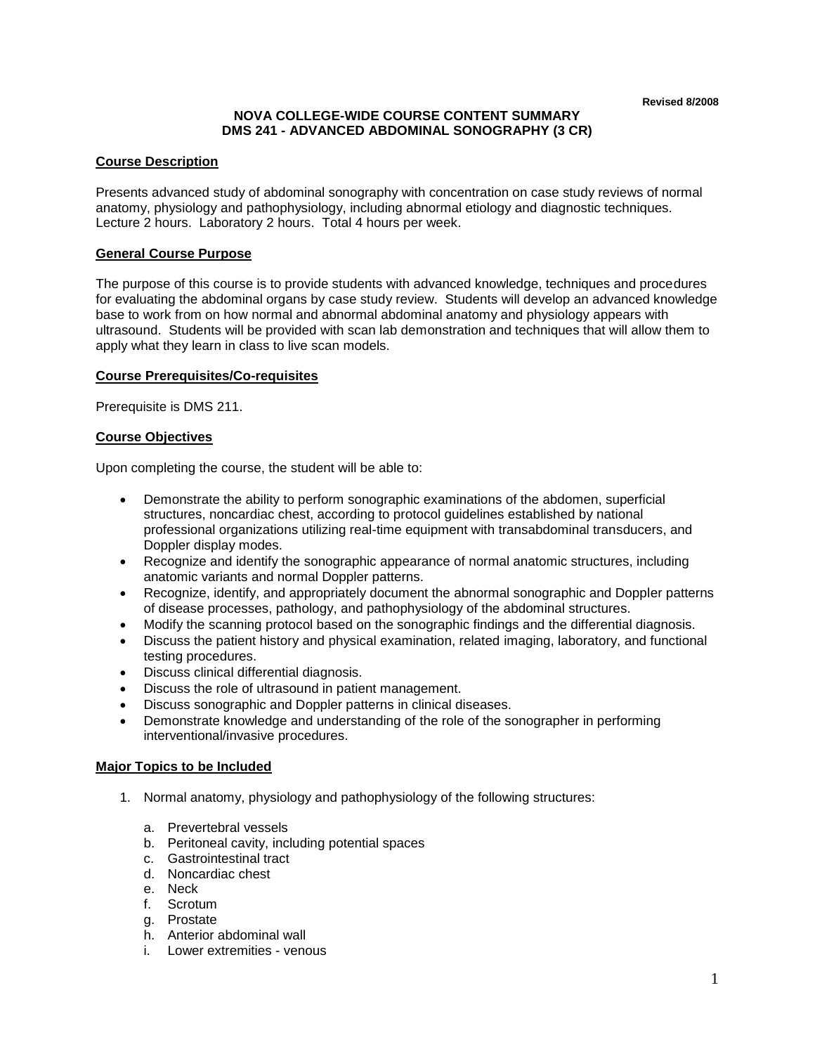# **NOVA COLLEGE-WIDE COURSE CONTENT SUMMARY DMS 241 - ADVANCED ABDOMINAL SONOGRAPHY (3 CR)**

# **Course Description**

Presents advanced study of abdominal sonography with concentration on case study reviews of normal anatomy, physiology and pathophysiology, including abnormal etiology and diagnostic techniques. Lecture 2 hours. Laboratory 2 hours. Total 4 hours per week.

### **General Course Purpose**

The purpose of this course is to provide students with advanced knowledge, techniques and procedures for evaluating the abdominal organs by case study review. Students will develop an advanced knowledge base to work from on how normal and abnormal abdominal anatomy and physiology appears with ultrasound. Students will be provided with scan lab demonstration and techniques that will allow them to apply what they learn in class to live scan models.

### **Course Prerequisites/Co-requisites**

Prerequisite is DMS 211.

#### **Course Objectives**

Upon completing the course, the student will be able to:

- Demonstrate the ability to perform sonographic examinations of the abdomen, superficial structures, noncardiac chest, according to protocol guidelines established by national professional organizations utilizing real-time equipment with transabdominal transducers, and Doppler display modes.
- Recognize and identify the sonographic appearance of normal anatomic structures, including anatomic variants and normal Doppler patterns.
- Recognize, identify, and appropriately document the abnormal sonographic and Doppler patterns of disease processes, pathology, and pathophysiology of the abdominal structures.
- Modify the scanning protocol based on the sonographic findings and the differential diagnosis.
- Discuss the patient history and physical examination, related imaging, laboratory, and functional testing procedures.
- Discuss clinical differential diagnosis.
- Discuss the role of ultrasound in patient management.
- Discuss sonographic and Doppler patterns in clinical diseases.
- Demonstrate knowledge and understanding of the role of the sonographer in performing interventional/invasive procedures.

### **Major Topics to be Included**

- 1. Normal anatomy, physiology and pathophysiology of the following structures:
	- a. Prevertebral vessels
	- b. Peritoneal cavity, including potential spaces
	- c. Gastrointestinal tract
	- d. Noncardiac chest
	- e. Neck
	- f. Scrotum
	- g. Prostate
	- h. Anterior abdominal wall
	- i. Lower extremities venous